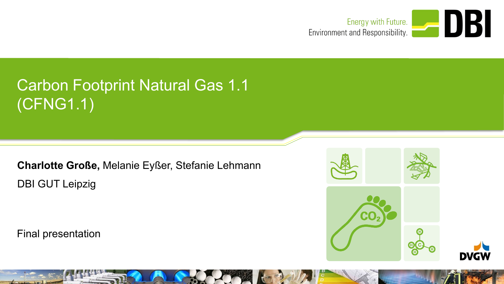

# Carbon Footprint Natural Gas 1.1 (CFNG1.1)

**Charlotte Große,** Melanie Eyßer, Stefanie Lehmann DBI GUT Leipzig

Final presentation

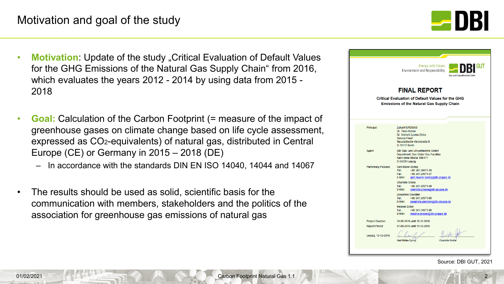#### Motivation and goal of the study



- **Motivation**: Update of the study "Critical Evaluation of Default Values for the GHG Emissions of the Natural Gas Supply Chain" from 2016, which evaluates the years 2012 - 2014 by using data from 2015 - 2018
- **Goal:** Calculation of the Carbon Footprint (= measure of the impact of greenhouse gases on climate change based on life cycle assessment, expressed as CO2-equivalents) of natural gas, distributed in Central Europe (CE) or Germany in 2015 – 2018 (DE)
	- In accordance with the standards DIN EN ISO 14040, 14044 and 14067
- The results should be used as solid, scientific basis for the communication with members, stakeholders and the politics of the association for greenhouse gas emissions of natural gas

|                                                                                                                                     | Energy with Future.<br>GUT<br>Environment and Responsibility.<br>Gas- und Umwelttechnik GmbF                                    |  |  |  |  |
|-------------------------------------------------------------------------------------------------------------------------------------|---------------------------------------------------------------------------------------------------------------------------------|--|--|--|--|
| <b>FINAL REPORT</b><br><b>Critical Evaluation of Default Values for the GHG</b><br><b>Emissions of the Natural Gas Supply Chain</b> |                                                                                                                                 |  |  |  |  |
| Principal:                                                                                                                          | <b>Zukunft ERDGAS</b><br>Dr. Timm Kehler                                                                                        |  |  |  |  |
|                                                                                                                                     | Dr. Norbert Azuma-Dicke<br><b>Verena Friedl</b><br>Neustädtische Kirchstraße 8<br>D-10117 Berlin                                |  |  |  |  |
| Agent:                                                                                                                              | <b>DBI Gas- und Umwelttechnik GmbH</b><br>Department: Gas Grids/ Gas Facilities<br>Karl-Heine-Straße 109/111<br>D-04229 Leipzig |  |  |  |  |
| <b>Performing Persons:</b>                                                                                                          | Gert Müller-Syring<br>Tel.:<br>+49 341 24571-29<br>Fax:<br>+49 341 24571-37<br>E-Mail:<br>gert.mueller-syring@dbi-gruppe.de     |  |  |  |  |
|                                                                                                                                     | Charlotte Große<br>Tel.:<br>+49 341 24571-49<br>E-Mail:<br>charlotte.grosse@dbi-gruppe.de                                       |  |  |  |  |
|                                                                                                                                     | <b>Josephine Glandien</b><br>Tel.:<br>+49 341 24571-80<br>E-Mail:<br>josephine.glandien@dbi-gruppe.de                           |  |  |  |  |
|                                                                                                                                     | <b>Melanie Evßer</b><br>+49 341 24571-80<br>Tel.:<br>E-Mail:<br>melanie.eysser@dbi-gruppe.de                                    |  |  |  |  |
| <b>Project Duration:</b>                                                                                                            | 30-05-2016 until 15-12-2016                                                                                                     |  |  |  |  |
| <b>Report Period:</b><br>Leipzig, 15-12-2016                                                                                        | 01-09-2016 until 15-12-2016                                                                                                     |  |  |  |  |
|                                                                                                                                     | <b>Charlotte Große</b><br>Gert Müller-Syring                                                                                    |  |  |  |  |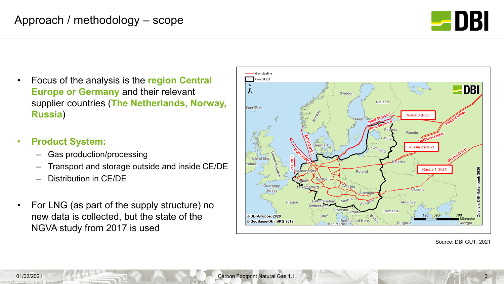

- Focus of the analysis is the **region Central Europe or Germany** and their relevant supplier countries (**The Netherlands, Norway, Russia**)
- **Product System:**
	- Gas production/processing
	- Transport and storage outside and inside CE/DE
	- Distribution in CE/DE
- For LNG (as part of the supply structure) no new data is collected, but the state of the NGVA study from 2017 is used



Source: DBI GUT, 2021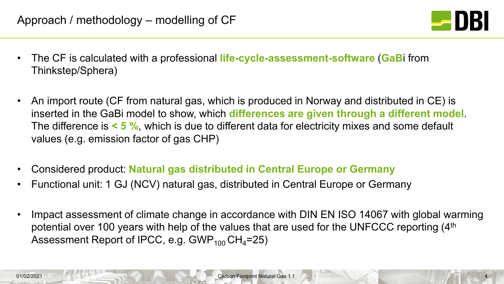

- The CF is calculated with a professional **life-cycle-assessment-software** (**GaB**i from Thinkstep/Sphera)
- An import route (CF from natural gas, which is produced in Norway and distributed in CE) is inserted in the GaBi model to show, which **differences are given through a different model**. The difference is **< 5 %**, which is due to different data for electricity mixes and some default values (e.g. emission factor of gas CHP)
- Considered product: **Natural gas distributed in Central Europe or Germany**
- Functional unit: 1 GJ (NCV) natural gas, distributed in Central Europe or Germany
- Impact assessment of climate change in accordance with DIN EN ISO 14067 with global warming potential over 100 years with help of the values that are used for the UNFCCC reporting (4<sup>th</sup> Assessment Report of IPCC, e.g.  $GWP_{100}CH_{4}=25$ )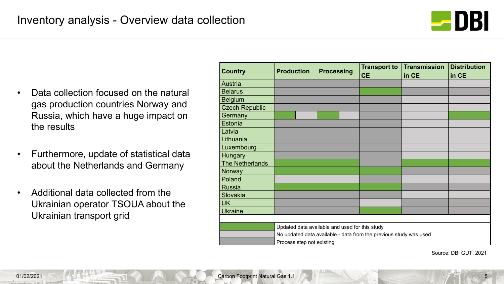

- Data collection focused on the natural gas production countries Norway and Russia, which have a huge impact on the results
- Furthermore, update of statistical data about the Netherlands and Germany
- Additional data collected from the Ukrainian operator TSOUA about the Ukrainian transport grid

| <b>Country</b>         | <b>Production</b>                                                 | <b>Processing</b> | <b>Transport to</b><br><b>CE</b> | <b>Transmission</b><br>in CE | <b>Distribution</b><br>in CE |  |
|------------------------|-------------------------------------------------------------------|-------------------|----------------------------------|------------------------------|------------------------------|--|
| Austria                |                                                                   |                   |                                  |                              |                              |  |
| <b>Belarus</b>         |                                                                   |                   |                                  |                              |                              |  |
| <b>Belgium</b>         |                                                                   |                   |                                  |                              |                              |  |
| <b>Czech Republic</b>  |                                                                   |                   |                                  |                              |                              |  |
| Germany                |                                                                   |                   |                                  |                              |                              |  |
| Estonia                |                                                                   |                   |                                  |                              |                              |  |
| Latvia                 |                                                                   |                   |                                  |                              |                              |  |
| Lithuania              |                                                                   |                   |                                  |                              |                              |  |
| Luxembourg             |                                                                   |                   |                                  |                              |                              |  |
| <b>Hungary</b>         |                                                                   |                   |                                  |                              |                              |  |
| <b>The Netherlands</b> |                                                                   |                   |                                  |                              |                              |  |
| Norway                 |                                                                   |                   |                                  |                              |                              |  |
| Poland                 |                                                                   |                   |                                  |                              |                              |  |
| <b>Russia</b>          |                                                                   |                   |                                  |                              |                              |  |
| Slovakia               |                                                                   |                   |                                  |                              |                              |  |
| <b>UK</b>              |                                                                   |                   |                                  |                              |                              |  |
| <b>Ukraine</b>         |                                                                   |                   |                                  |                              |                              |  |
|                        |                                                                   |                   |                                  |                              |                              |  |
|                        | Updated data available and used for this study                    |                   |                                  |                              |                              |  |
|                        | No updated data available - data from the previous study was used |                   |                                  |                              |                              |  |
|                        | Process step not existing                                         |                   |                                  |                              |                              |  |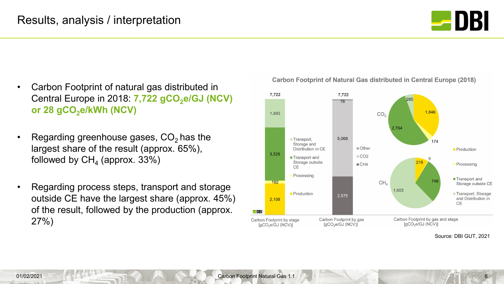

- Carbon Footprint of natural gas distributed in Central Europe in 2018: **7,722 gCO<sub>2</sub>e/GJ (NCV)** or 28 gCO<sub>2</sub>e/kWh (NCV)
- Regarding greenhouse gases,  $CO<sub>2</sub>$  has the largest share of the result (approx. 65%), followed by  $CH<sub>4</sub>$  (approx. 33%)
- Regarding process steps, transport and storage outside CE have the largest share (approx. 45%) of the result, followed by the production (approx. 27%)

7,722 7,722 285 78 1,846 1.893  $CO<sub>2</sub>$ 2.764 5,069 Transport. 174 Storage and ■ Other Distribution in CE **Production** 3.528  $\Box$  CO<sub>2</sub> ■ Transport and 215 Storage outside  $CH4$ Processing **CE** Processing ■ Transport and 748  $192$  $CH<sub>A</sub>$ Storage outside CE 1,603 ■ Transport, Storage **Production** 2,575 and Distribution in 2,108 **CE**  $B<sub>DB</sub>$ Carbon Footprint by gas and stage Carbon Footprint by gas Carbon Footprint by stage  $[gCO<sub>2</sub>e/GJ (NCV)]$  $[gCO<sub>2</sub>e/GJ (NCV)]$  $[gCO<sub>2</sub>e/GJ (NCV)]$ 

#### **Carbon Footprint of Natural Gas distributed in Central Europe (2018)**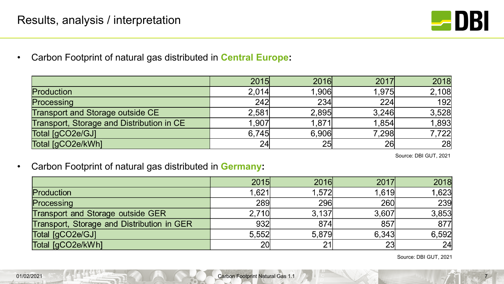

• Carbon Footprint of natural gas distributed in **Central Europe:**

|                                           | 2015  | 2016  | 2017  | 2018  |
|-------------------------------------------|-------|-------|-------|-------|
| Production                                | 2,014 | 1,906 | 1,975 | 2,108 |
| Processing                                | 242   | 234   | 224   | 192   |
| Transport and Storage outside CE          | 2,581 | 2,895 | 3,246 | 3,528 |
| Transport, Storage and Distribution in CE | 1,907 | 1,871 | 1,854 | 1,893 |
| Total [gCO2e/GJ]                          | 6.745 | 6,906 | 7,298 | 7,722 |
| Total [gCO2e/kWh]                         | 24    | 25    | 26    | 28    |

Source: DBI GUT, 2021

• Carbon Footprint of natural gas distributed in **Germany:**

|                                            | 2015            | 2016       | 2017       | 2018  |
|--------------------------------------------|-----------------|------------|------------|-------|
| Production                                 | 1.621           | 1,572      | 1,619      | 1,623 |
| Processing                                 | <b>289</b>      | <b>296</b> | <b>260</b> | 239   |
| Transport and Storage outside GER          | 2.710           | 3.137      | 3,607      | 3,853 |
| Transport, Storage and Distribution in GER | 932             | 874        | 857        | 877   |
| Total [gCO2e/GJ]                           | 5,552           | 5,879      | 6,343      | 6,592 |
| Total [gCO2e/kWh]                          | 20 <sub>l</sub> | 21         | 23         | 24    |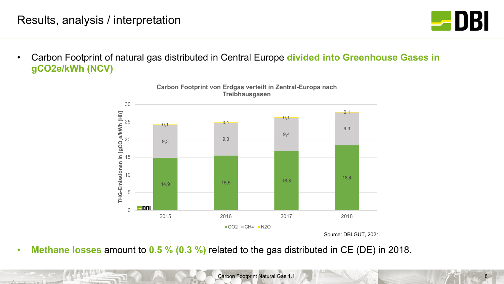

• Carbon Footprint of natural gas distributed in Central Europe **divided into Greenhouse Gases in gCO2e/kWh (NCV)**



**Carbon Footprint von Erdgas verteilt in Zentral-Europa nach Treibhausgasen**

Source: DBI GUT, 2021

• **Methane losses** amount to **0.5 % (0.3 %)** related to the gas distributed in CE (DE) in 2018.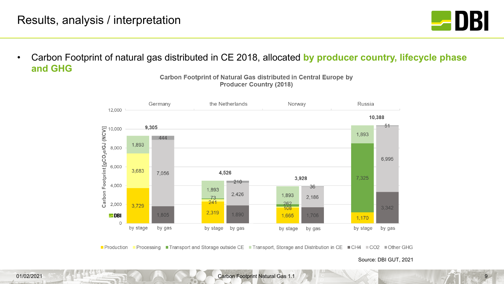

• Carbon Footprint of natural gas distributed in CE 2018, allocated **by producer country, lifecycle phase and GHG**

> the Netherlands Russia Germany Norway 12,000 10,388 Carbon Footprint [gCO<sub>2</sub>e/GJ (NCV)]<br>Carbon Footprint [gCO<sub>2</sub>e/GJ (NCV)]<br>2,000  $-51$ 9,305 1,893 444 1,893 6,995 3,683 4,526 7,056 7,325 3,928  $210$ 36 1,893 2,426 1,893  $\frac{73}{241}$ 2,186  $\frac{262}{108}$ 3.729 3,342 2,319 1,890 1.805 1.706  $\blacksquare$ DBI 1,665 1,170  $\Omega$ by gas by gas by stage by stage by stage by gas by stage by gas

Carbon Footprint of Natural Gas distributed in Central Europe by **Producer Country (2018)** 

■ Processing ■ Transport and Storage outside CE ■ Transport, Storage and Distribution in CE ■ CH4 ■ CO2 ■ Other GHG ■ Production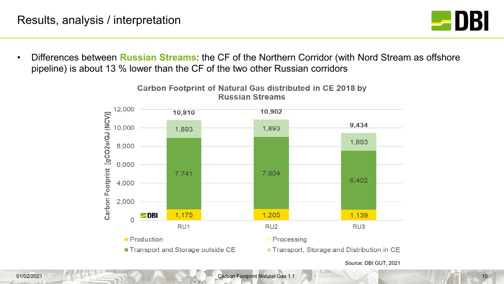

• Differences between **Russian Streams**: the CF of the Northern Corridor (with Nord Stream as offshore pipeline) is about 13 % lower than the CF of the two other Russian corridors



Carbon Footprint of Natural Gas distributed in CE 2018 by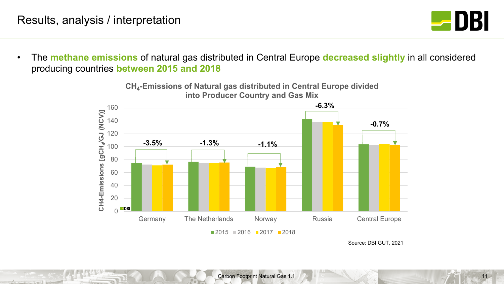Kansas Links



• The **methane emissions** of natural gas distributed in Central Europe **decreased slightly** in all considered producing countries **between 2015 and 2018**

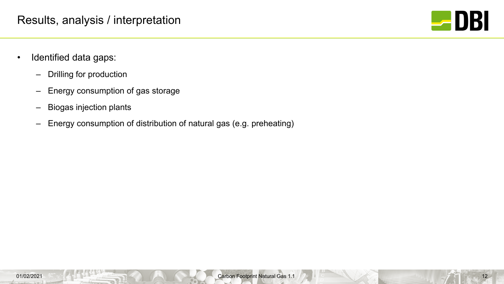

- Identified data gaps:
	- Drilling for production
	- Energy consumption of gas storage
	- Biogas injection plants
	- Energy consumption of distribution of natural gas (e.g. preheating)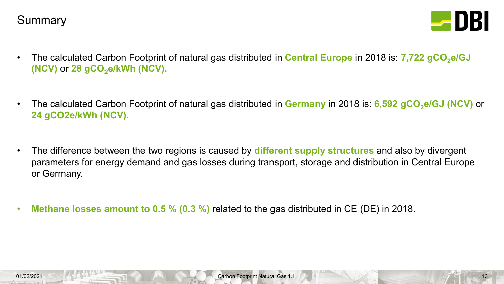



- The calculated Carbon Footprint of natural gas distributed in **Central Europe** in 2018 is: **7,722 gCO<sub>2</sub>e/GJ (NCV)** or 28 gCO<sub>2</sub>e/kWh (NCV).
- The calculated Carbon Footprint of natural gas distributed in Germany in 2018 is: 6,592 gCO<sub>2</sub>e/GJ (NCV) or **24 gCO2e/kWh (NCV).**
- The difference between the two regions is caused by **different supply structures** and also by divergent parameters for energy demand and gas losses during transport, storage and distribution in Central Europe or Germany.
- **Methane losses amount to 0.5 % (0.3 %)** related to the gas distributed in CE (DE) in 2018.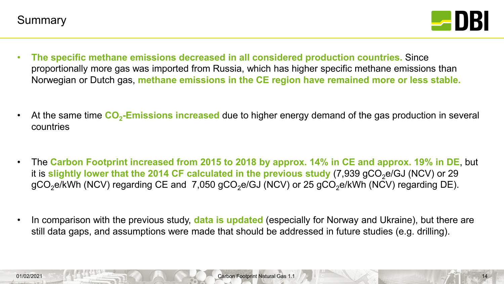

- **The specific methane emissions decreased in all considered production countries.** Since proportionally more gas was imported from Russia, which has higher specific methane emissions than Norwegian or Dutch gas, **methane emissions in the CE region have remained more or less stable.**
- At the same time  $CO<sub>2</sub>$ -Emissions increased due to higher energy demand of the gas production in several countries
- The **Carbon Footprint increased from 2015 to 2018 by approx. 14% in CE and approx. 19% in DE**, but it is slightly lower that the 2014 CF calculated in the previous study (7,939 gCO<sub>2</sub>e/GJ (NCV) or 29 gCO<sub>2</sub>e/kWh (NCV) regarding CE and 7,050 gCO<sub>2</sub>e/GJ (NCV) or 25 gCO<sub>2</sub>e/kWh (NCV) regarding DE).
- In comparison with the previous study, **data is updated** (especially for Norway and Ukraine), but there are still data gaps, and assumptions were made that should be addressed in future studies (e.g. drilling).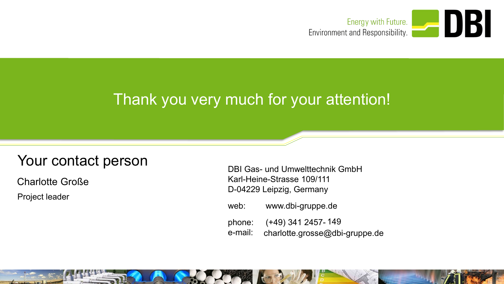

## Thank you very much for your attention!

# Your contact person<br>DBI Gas- und Umwelttechnik GmbH

Charlotte Große

Project leader

Karl-Heine-Strasse 109/111 D-04229 Leipzig, Germany

web: www.dbi-gruppe.de

phone: (+49) 341 2457- 149 e-mail: charlotte.grosse@dbi-gruppe.de